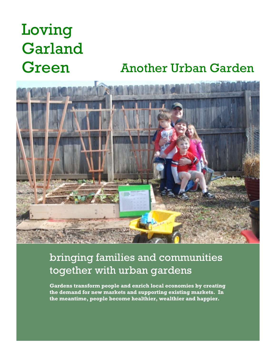## Loving Garland Green Another Urban Garden



#### **+** bringing families and communities together with urban gardens

**Gardens transform people and enrich local economies by creating the demand for new markets and supporting existing markets. In the meantime, people become healthier, wealthier and happier.**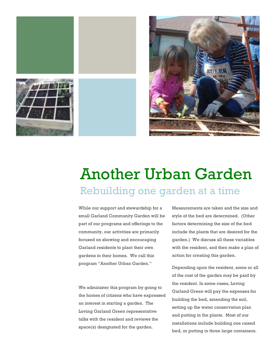



### Another Urban Garden Rebuilding one garden at a time

While our support and stewardship for a small Garland Community Garden will be part of our programs and offerings to the community, our activities are primarily focused on showing and encouraging Garland residents to plant their own gardens in their homes. We call this program "Another Urban Garden."

We administer this program by going to the homes of citizens who have expressed an interest in starting a garden. The Loving Garland Green representative talks with the resident and reviews the space(s) designated for the garden.

Measurements are taken and the size and style of the bed are determined. (Other factors determining the size of the bed include the plants that are desired for the garden.) We discuss all these variables with the resident, and then make a plan of action for creating this garden.

Depending upon the resident, some or all of the cost of the garden may be paid by the resident. In some cases, Loving Garland Green will pay the expenses for building the bed, amending the soil, setting up the water conservation plan and putting in the plants. Most of our installations include building one raised bed, or putting in three large containers.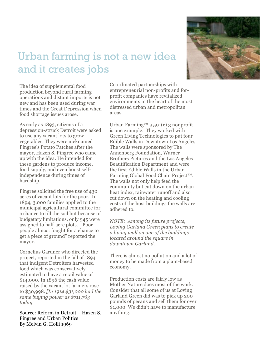

#### Urban farming is not a new idea and it creates jobs

The idea of supplemental food production beyond rural farming operations and distant imports is not new and has been used during war times and the Great Depression when food shortage issues arose.

As early as 1893, citizens of a depression -struck Detroit were asked to use any vacant lots to grow vegetables. They were nicknamed Pingree's Potato Patches after the mayor, Hazen S. Pingree who came up with the idea. He intended for these gardens to produce income, food supply, and even boost selfindependence during times of hardship.

Pingree solicited the free use of 430 acres of vacant lots for the poor. In 1894, 3,000 families applied to the municipal agricultural committee for a chance to till the soil but because of budgetary limitations, only 945 were assigned to half-acre plots. "Poor people almost fought for a chance to get a piece of ground" reported the mayor.

Cornelius Gardner who directed the project, reported in the fall of 1894 that indigent Detroiters harvested food which was conservatively estimated to have a retail value of \$14,000. In 1896 the cash value raised by the vacant lot farmers rose to \$30,998. *[In 1914 \$31,000 had the same buying power as \$711,763 today.*

Source: Reform in Detroit – Hazen S. Pingree and Urban Politics By Melvin G. Holli 1969

Coordinated partnerships with entrepreneurial non -profits and for profit companies have revitalized environments in the heart of the most distressed urban and metropolitan areas.

Urban Farming<sup>™</sup> a 501(c) 3 nonprofit is one example. They worked with Green Living Technologies to put four Edible Walls in Downtown Los Angeles. The walls were sponsored by The Annenberg Foundation, Warner Brothers Pictures and the Los Angeles Beautification Department and were the first Edible Walls in the Urban Farming Global Food Chain Project™. The walls not only help feed the community but cut down on the urban heat index, rainwater runoff and also cut down on the heating and cooling costs of the host buildings the walls are adhered to.

*NOTE: Among its future projects, Loving Garland Green plans to create a living wall on one of the buildings located around the square in downtown Garland.*

There is almost no pollution and a lot of money to be made from a plant -based economy.

Production costs are fairly low as Mother Nature does most of the work. Consider that all some of us at Loving Garland Green did was to pick up 200 pounds of pecans and sell them for over \$1,000. We didn't have to manufacture anything.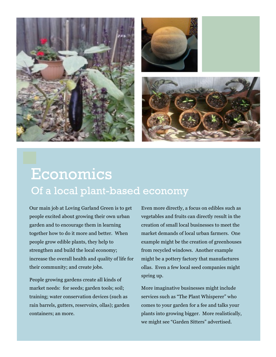

#### Economics Of a local plant-based economy

Our main job at Loving Garland Green is to get people excited about growing their own urban garden and to encourage them in learning together how to do it more and better. When people grow edible plants, they help to strengthen and build the local economy; increase the overall health and quality of life for their community; and create jobs.

People growing gardens create all kinds of market needs: for seeds; garden tools; soil; training; water conservation devices (such as rain barrels, gutters, reservoirs, ollas); garden containers; an more.

Even more directly, a focus on edibles such as vegetables and fruits can directly result in the creation of small local businesses to meet the market demands of local urban farmers. One example might be the creation of greenhouses from recycled windows. Another example might be a pottery factory that manufactures ollas. Even a few local seed companies might spring up.

More imaginative businesses might include services such as "The Plant Whisperer" who comes to your garden for a fee and talks your plants into growing bigger. More realistically, we might see "Garden Sitters" advertised.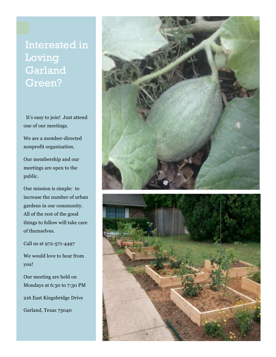#### Interested in Loving Garland Green?

It's easy to join! Just attend one of our meetings.

We are a member -directed nonprofit organization.

Our membership and our meetings are open to the public.

Our mission is simple: to increase the number of urban gardens in our community. All of the rest of the good things to follow will take care of themselves.

Call us at 972 -571 -4497

We would love to hear from you!

Our meeting are held on Mondays at 6:30 to 7:30 PM 216 East Kingsbridge Drive Garland, Texas 75040